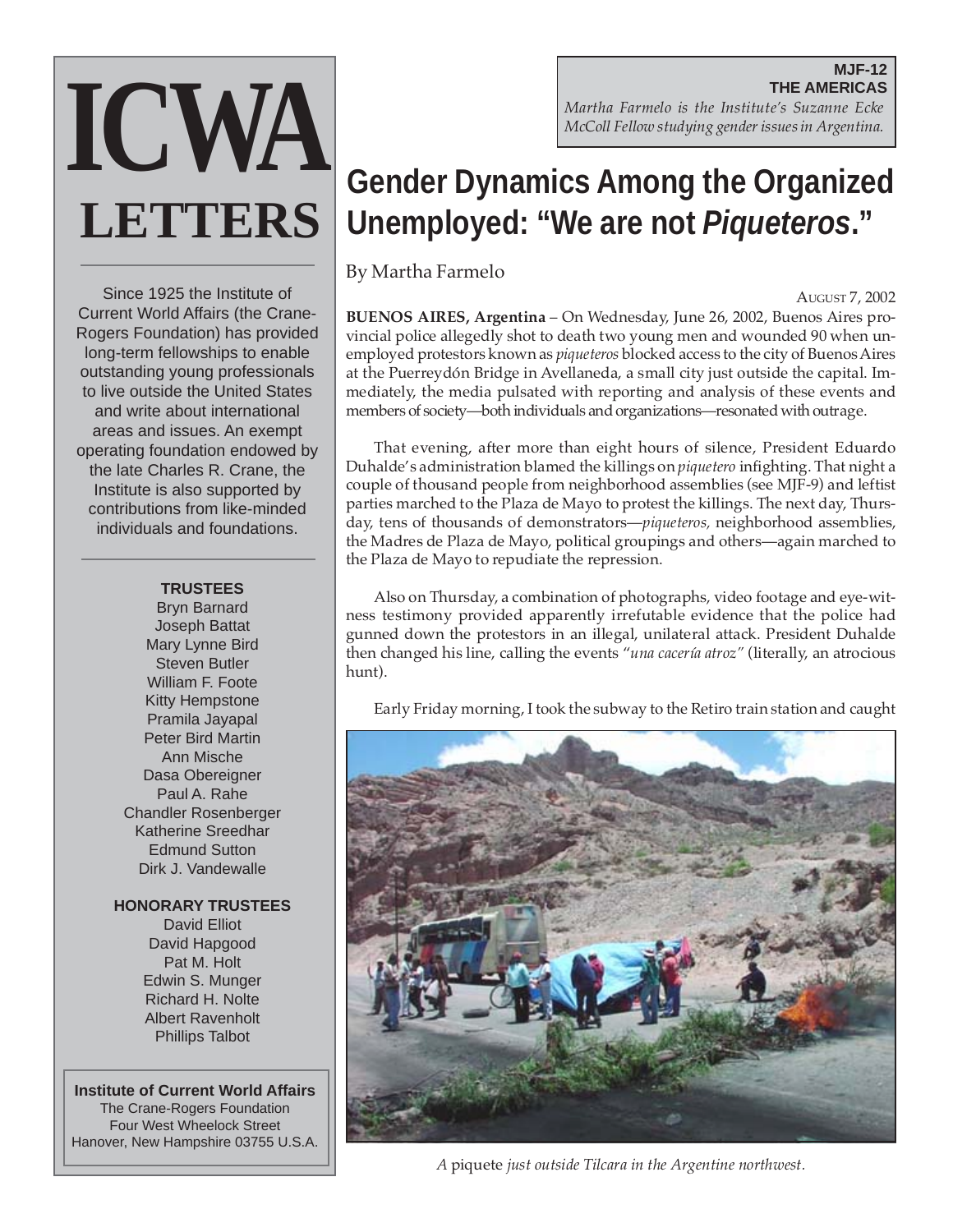#### **MJF-12 THE AMERICAS** *Martha Farmelo is the Institute's Suzanne Ecke McColl Fellow studying gender issues in Argentina.*

# **ICWA LETTERS Gender Dynamics Among the Organized Unemployed: "We are not Piqueteros."**

By Martha Farmelo

AUGUST 7, 2002

**BUENOS AIRES, Argentina** – On Wednesday, June 26, 2002, Buenos Aires provincial police allegedly shot to death two young men and wounded 90 when unemployed protestors known as *piqueteros* blocked access to the city of Buenos Aires at the Puerreydón Bridge in Avellaneda, a small city just outside the capital. Immediately, the media pulsated with reporting and analysis of these events and members of society—both individuals and organizations—resonated with outrage.

That evening, after more than eight hours of silence, President Eduardo Duhalde's administration blamed the killings on *piquetero* infighting. That night a couple of thousand people from neighborhood assemblies (see MJF-9) and leftist parties marched to the Plaza de Mayo to protest the killings. The next day, Thursday, tens of thousands of demonstrators—*piqueteros,* neighborhood assemblies, the Madres de Plaza de Mayo, political groupings and others—again marched to the Plaza de Mayo to repudiate the repression.

Also on Thursday, a combination of photographs, video footage and eye-witness testimony provided apparently irrefutable evidence that the police had gunned down the protestors in an illegal, unilateral attack. President Duhalde then changed his line, calling the events "*una cacería atroz"* (literally, an atrocious hunt).

Early Friday morning, I took the subway to the Retiro train station and caught



*A* piquete *just outside Tilcara in the Argentine northwest.*

Since 1925 the Institute of Current World Affairs (the Crane-Rogers Foundation) has provided long-term fellowships to enable outstanding young professionals to live outside the United States and write about international areas and issues. An exempt operating foundation endowed by the late Charles R. Crane, the Institute is also supported by contributions from like-minded

**TRUSTEES**

individuals and foundations.

Bryn Barnard Joseph Battat Mary Lynne Bird Steven Butler William F. Foote Kitty Hempstone Pramila Jayapal Peter Bird Martin Ann Mische Dasa Obereigner Paul A. Rahe Chandler Rosenberger Katherine Sreedhar Edmund Sutton Dirk J. Vandewalle

**HONORARY TRUSTEES**

David Elliot David Hapgood Pat M. Holt Edwin S. Munger Richard H. Nolte Albert Ravenholt Phillips Talbot

**Institute of Current World Affairs** The Crane-Rogers Foundation Four West Wheelock Street Hanover, New Hampshire 03755 U.S.A.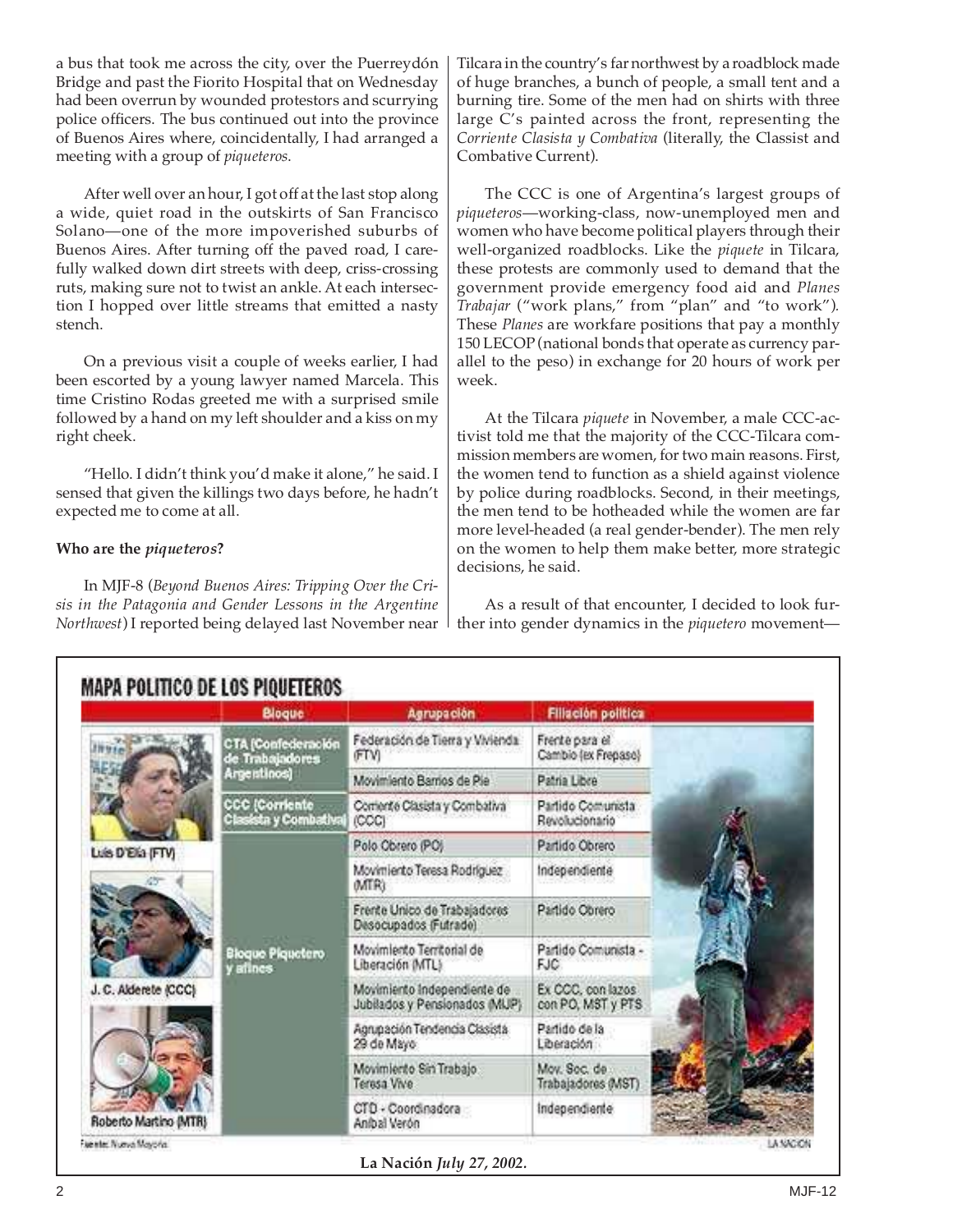a bus that took me across the city, over the Puerreydón Bridge and past the Fiorito Hospital that on Wednesday had been overrun by wounded protestors and scurrying police officers. The bus continued out into the province of Buenos Aires where, coincidentally, I had arranged a meeting with a group of *piqueteros*.

After well over an hour, I got off at the last stop along a wide, quiet road in the outskirts of San Francisco Solano—one of the more impoverished suburbs of Buenos Aires. After turning off the paved road, I carefully walked down dirt streets with deep, criss-crossing ruts, making sure not to twist an ankle. At each intersection I hopped over little streams that emitted a nasty stench.

On a previous visit a couple of weeks earlier, I had been escorted by a young lawyer named Marcela. This time Cristino Rodas greeted me with a surprised smile followed by a hand on my left shoulder and a kiss on my right cheek.

"Hello. I didn't think you'd make it alone," he said. I sensed that given the killings two days before, he hadn't expected me to come at all.

#### **Who are the** *piqueteros***?**

In MJF-8 (*Beyond Buenos Aires: Tripping Over the Crisis in the Patagonia and Gender Lessons in the Argentine Northwest*) I reported being delayed last November near

Tilcara in the country's far northwest by a roadblock made of huge branches, a bunch of people, a small tent and a burning tire. Some of the men had on shirts with three large C's painted across the front, representing the *Corriente Clasista y Combativa* (literally, the Classist and Combative Current).

The CCC is one of Argentina's largest groups of *piqueteros*—working-class, now-unemployed men and women who have become political players through their well-organized roadblocks. Like the *piquete* in Tilcara, these protests are commonly used to demand that the government provide emergency food aid and *Planes Trabajar* ("work plans," from "plan" and "to work")*.* These *Planes* are workfare positions that pay a monthly 150 LECOP (national bonds that operate as currency parallel to the peso) in exchange for 20 hours of work per week.

At the Tilcara *piquete* in November, a male CCC-activist told me that the majority of the CCC-Tilcara commission members are women, for two main reasons. First, the women tend to function as a shield against violence by police during roadblocks. Second, in their meetings, the men tend to be hotheaded while the women are far more level-headed (a real gender-bender). The men rely on the women to help them make better, more strategic decisions, he said.

As a result of that encounter, I decided to look further into gender dynamics in the *piquetero* movement—

|                       | Bloque                                               | Agrupación                                                   | <b>Filiación política</b>              |  |
|-----------------------|------------------------------------------------------|--------------------------------------------------------------|----------------------------------------|--|
|                       | CTA (Confederación<br>de Trabajadores<br>Argentinos) | Federación de Tierra y Vivienda<br>FTVI                      | Frente para el<br>Cambio (ex Frepaso)  |  |
|                       |                                                      | Movimiento Barrios de Pie                                    | Patria Libre                           |  |
|                       | CCC (Corriente<br>iasista y Combativaj               | Corriente Clasista y Combativa<br>(CCC)                      | Partido Comunista<br>Revolucionario    |  |
| Luis D'Elia (FTV)     | Bloque Plquetero<br>allnes                           | Polo Obrero (PO)                                             | Partido Obrero                         |  |
|                       |                                                      | Movimiento Teresa Rodríguez<br><b>MTRI</b>                   | Independiente                          |  |
|                       |                                                      | Frente Unico de Trabajadores<br>Desocupados (Futrade)        | Partido Obrero                         |  |
|                       |                                                      | Movimiento Territorial de<br>Liberación MTL)                 | Partido Comunista -<br><b>FJC</b>      |  |
| J.C. Alderete (CCC)   |                                                      | Movimiento Independiente de<br>Jubilados y Pensionados (MUP) | Ex CCC, con lazos<br>con PO, MST y PTS |  |
|                       |                                                      | Agrupación Tendencia Clasista<br>29 de Mayo                  | Partido de la<br>Liberación            |  |
|                       |                                                      | Movimiento Sin Trabajo<br>Terasa Vive                        | Mov. Soc. de<br>Trabajadores (MST)     |  |
| Roberto Martino (MTR) |                                                      | CTD - Coordinadora<br>Aníbal Verón                           | Independiente                          |  |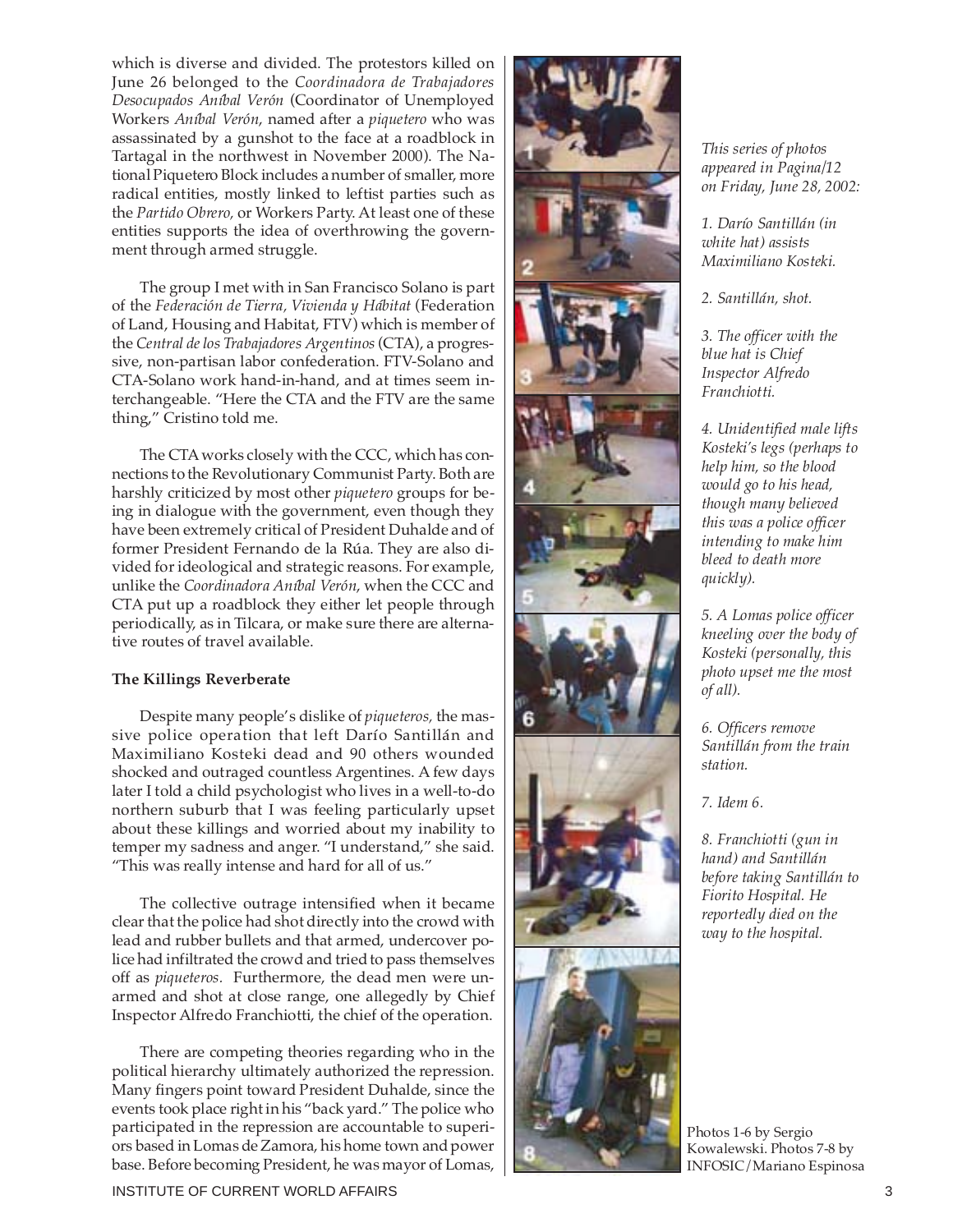which is diverse and divided. The protestors killed on June 26 belonged to the *Coordinadora de Trabajadores Desocupados Aníbal Verón* (Coordinator of Unemployed Workers *Aníbal Verón*, named after a *piquetero* who was assassinated by a gunshot to the face at a roadblock in Tartagal in the northwest in November 2000). The National Piquetero Block includes a number of smaller, more radical entities, mostly linked to leftist parties such as the *Partido Obrero,* or Workers Party. At least one of these entities supports the idea of overthrowing the government through armed struggle.

The group I met with in San Francisco Solano is part of the *Federación de Tierra, Vivienda y Hábitat* (Federation of Land, Housing and Habitat, FTV) which is member of the *Central de los Trabajadores Argentinos*(CTA), a progressive, non-partisan labor confederation. FTV-Solano and CTA-Solano work hand-in-hand, and at times seem interchangeable. "Here the CTA and the FTV are the same thing," Cristino told me.

The CTA works closely with the CCC, which has connections to the Revolutionary Communist Party. Both are harshly criticized by most other *piquetero* groups for being in dialogue with the government, even though they have been extremely critical of President Duhalde and of former President Fernando de la Rúa. They are also divided for ideological and strategic reasons. For example, unlike the *Coordinadora Aníbal Verón*, when the CCC and CTA put up a roadblock they either let people through periodically, as in Tilcara, or make sure there are alternative routes of travel available.

#### **The Killings Reverberate**

Despite many people's dislike of *piqueteros,* the massive police operation that left Darío Santillán and Maximiliano Kosteki dead and 90 others wounded shocked and outraged countless Argentines. A few days later I told a child psychologist who lives in a well-to-do northern suburb that I was feeling particularly upset about these killings and worried about my inability to temper my sadness and anger. "I understand," she said. "This was really intense and hard for all of us."

The collective outrage intensified when it became clear that the police had shot directly into the crowd with lead and rubber bullets and that armed, undercover police had infiltrated the crowd and tried to pass themselves off as *piqueteros.* Furthermore, the dead men were unarmed and shot at close range, one allegedly by Chief Inspector Alfredo Franchiotti, the chief of the operation.

There are competing theories regarding who in the political hierarchy ultimately authorized the repression. Many fingers point toward President Duhalde, since the events took place right in his "back yard." The police who participated in the repression are accountable to superiors based in Lomas de Zamora, his home town and power base. Before becoming President, he was mayor of Lomas,



*This series of photos appeared in Pagina/12 on Friday, June 28, 2002:*

*1. Darío Santillán (in white hat) assists Maximiliano Kosteki.*

*2. Santillán, shot.*

*3. The officer with the blue hat is Chief Inspector Alfredo Franchiotti.*

*4. Unidentified male lifts Kosteki's legs (perhaps to help him, so the blood would go to his head, though many believed this was a police officer intending to make him bleed to death more quickly).*

*5. A Lomas police officer kneeling over the body of Kosteki (personally, this photo upset me the most of all).*

*6. Officers remove Santillán from the train station.*

*7. Idem 6.*

*8. Franchiotti (gun in hand) and Santillán before taking Santillán to Fiorito Hospital. He reportedly died on the way to the hospital.*

Photos 1-6 by Sergio Kowalewski. Photos 7-8 by INFOSIC/Mariano Espinosa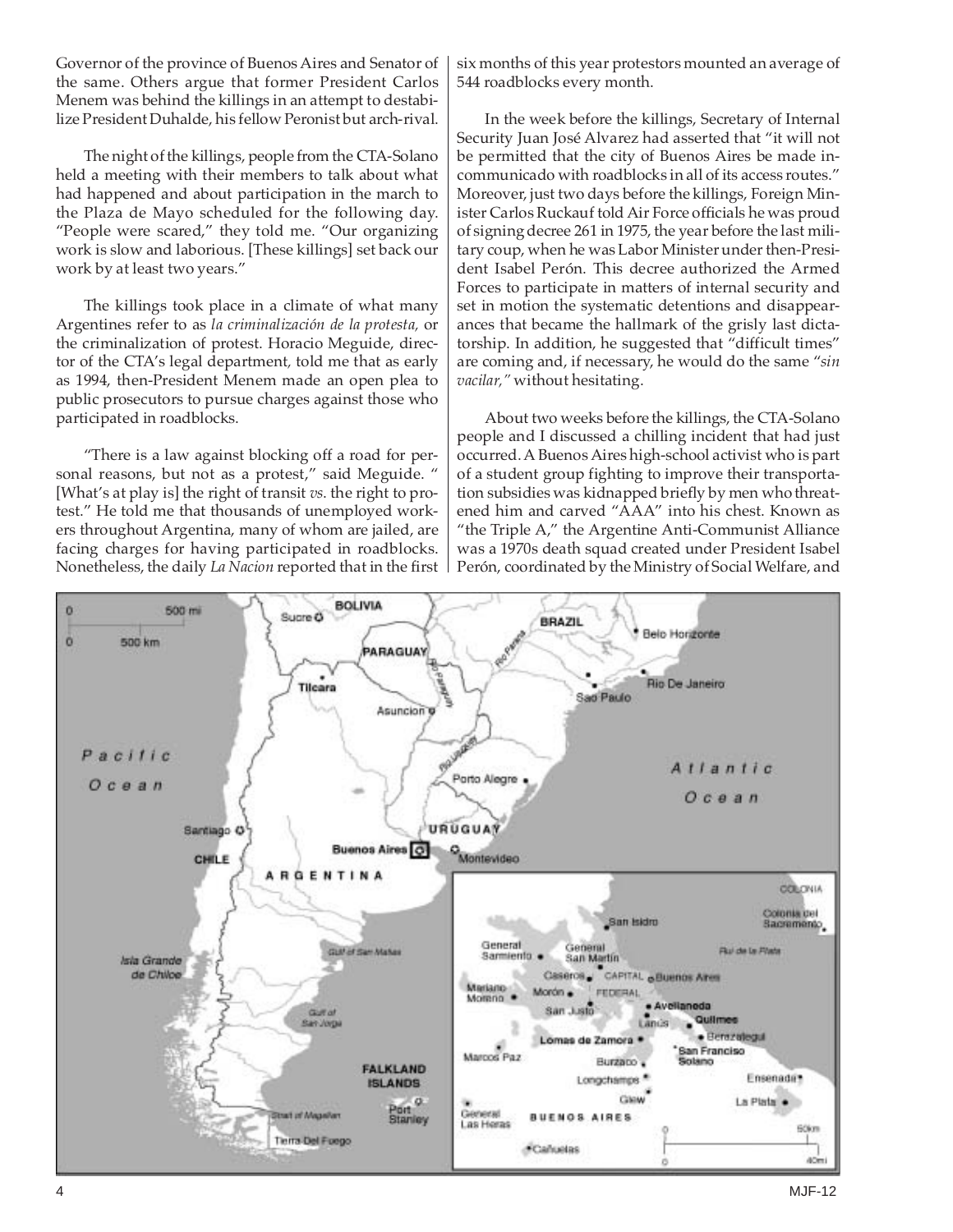Governor of the province of Buenos Aires and Senator of the same. Others argue that former President Carlos Menem was behind the killings in an attempt to destabilize President Duhalde, his fellow Peronist but arch-rival.

The night of the killings, people from the CTA-Solano held a meeting with their members to talk about what had happened and about participation in the march to the Plaza de Mayo scheduled for the following day. "People were scared," they told me. "Our organizing work is slow and laborious. [These killings] set back our work by at least two years."

The killings took place in a climate of what many Argentines refer to as *la criminalización de la protesta,* or the criminalization of protest. Horacio Meguide, director of the CTA's legal department*,* told me that as early as 1994, then-President Menem made an open plea to public prosecutors to pursue charges against those who participated in roadblocks.

"There is a law against blocking off a road for personal reasons, but not as a protest," said Meguide. " [What's at play is] the right of transit *vs*. the right to protest." He told me that thousands of unemployed workers throughout Argentina, many of whom are jailed, are facing charges for having participated in roadblocks. Nonetheless, the daily *La Nacion* reported that in the first six months of this year protestors mounted an average of 544 roadblocks every month.

In the week before the killings, Secretary of Internal Security Juan José Alvarez had asserted that "it will not be permitted that the city of Buenos Aires be made incommunicado with roadblocks in all of its access routes." Moreover, just two days before the killings, Foreign Minister Carlos Ruckauf told Air Force officials he was proud of signing decree 261 in 1975, the year before the last military coup, when he was Labor Minister under then-President Isabel Perón. This decree authorized the Armed Forces to participate in matters of internal security and set in motion the systematic detentions and disappearances that became the hallmark of the grisly last dictatorship. In addition, he suggested that "difficult times" are coming and, if necessary, he would do the same "*sin vacilar,"* without hesitating.

About two weeks before the killings, the CTA-Solano people and I discussed a chilling incident that had just occurred. A Buenos Aires high-school activist who is part of a student group fighting to improve their transportation subsidies was kidnapped briefly by men who threatened him and carved "AAA" into his chest. Known as "the Triple A," the Argentine Anti-Communist Alliance was a 1970s death squad created under President Isabel Perón, coordinated by the Ministry of Social Welfare, and

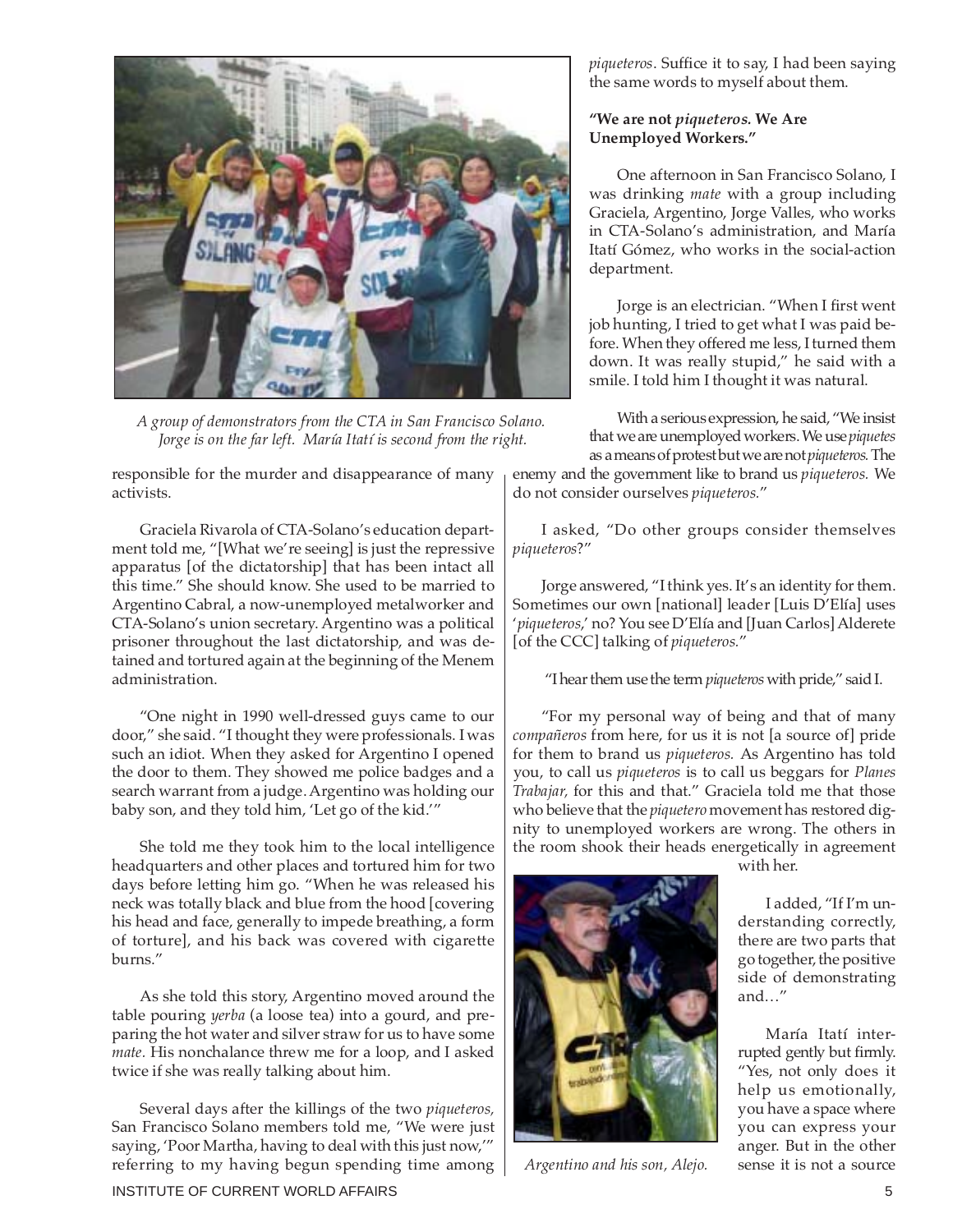

*A group of demonstrators from the CTA in San Francisco Solano. Jorge is on the far left. María Itatí is second from the right.*

responsible for the murder and disappearance of many activists.

Graciela Rivarola of CTA-Solano's education department told me, "[What we're seeing] is just the repressive apparatus [of the dictatorship] that has been intact all this time." She should know. She used to be married to Argentino Cabral, a now-unemployed metalworker and CTA-Solano's union secretary. Argentino was a political prisoner throughout the last dictatorship, and was detained and tortured again at the beginning of the Menem administration.

"One night in 1990 well-dressed guys came to our door," she said. "I thought they were professionals. I was such an idiot. When they asked for Argentino I opened the door to them. They showed me police badges and a search warrant from a judge. Argentino was holding our baby son, and they told him, 'Let go of the kid.'"

She told me they took him to the local intelligence headquarters and other places and tortured him for two days before letting him go. "When he was released his neck was totally black and blue from the hood [covering his head and face, generally to impede breathing, a form of torture], and his back was covered with cigarette burns."

As she told this story, Argentino moved around the table pouring *yerba* (a loose tea) into a gourd, and preparing the hot water and silver straw for us to have some *mate.* His nonchalance threw me for a loop, and I asked twice if she was really talking about him.

Several days after the killings of the two *piqueteros,* San Francisco Solano members told me, "We were just saying, 'Poor Martha, having to deal with this just now,'" referring to my having begun spending time among *piqueteros*. Suffice it to say, I had been saying the same words to myself about them.

#### **"We are not** *piqueteros.* **We Are Unemployed Workers."**

One afternoon in San Francisco Solano, I was drinking *mate* with a group including Graciela, Argentino, Jorge Valles, who works in CTA-Solano's administration, and María Itatí Gómez, who works in the social-action department.

Jorge is an electrician. "When I first went job hunting, I tried to get what I was paid before. When they offered me less, I turned them down. It was really stupid," he said with a smile. I told him I thought it was natural.

With a serious expression, he said, "We insist that we are unemployed workers. We use *piquetes* as a means of protest but we are not *piqueteros.* The

enemy and the government like to brand us *piqueteros.* We do not consider ourselves *piqueteros.*"

I asked, "Do other groups consider themselves *piqueteros*?"

Jorge answered, "I think yes. It's an identity for them. Sometimes our own [national] leader [Luis D'Elía] uses '*piqueteros*,' no? You see D'Elía and [Juan Carlos] Alderete [of the CCC] talking of *piqueteros.*"

"I hear them use the term *piqueteros* with pride," said I.

"For my personal way of being and that of many *compañeros* from here, for us it is not [a source of] pride for them to brand us *piqueteros.* As Argentino has told you, to call us *piqueteros* is to call us beggars for *Planes Trabajar,* for this and that." Graciela told me that those who believe that the *piquetero* movement has restored dignity to unemployed workers are wrong. The others in the room shook their heads energetically in agreement



*Argentino and his son, Alejo.*

with her.

I added, "If I'm understanding correctly, there are two parts that go together, the positive side of demonstrating and…"

María Itatí interrupted gently but firmly. "Yes, not only does it help us emotionally, you have a space where you can express your anger. But in the other sense it is not a source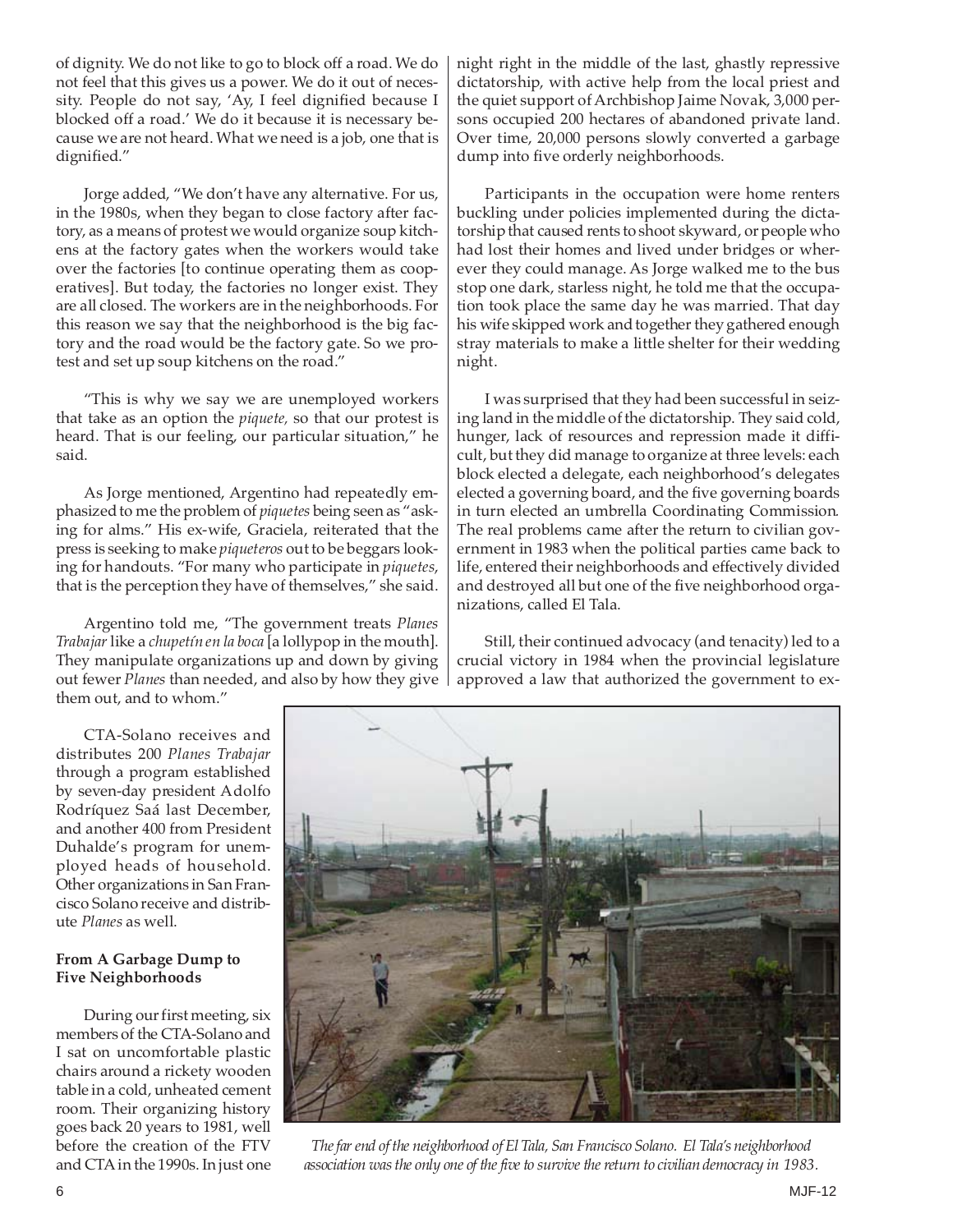of dignity. We do not like to go to block off a road. We do not feel that this gives us a power. We do it out of necessity. People do not say, 'Ay, I feel dignified because I blocked off a road.' We do it because it is necessary because we are not heard. What we need is a job, one that is dignified."

Jorge added, "We don't have any alternative. For us, in the 1980s, when they began to close factory after factory, as a means of protest we would organize soup kitchens at the factory gates when the workers would take over the factories [to continue operating them as cooperatives]. But today, the factories no longer exist. They are all closed. The workers are in the neighborhoods. For this reason we say that the neighborhood is the big factory and the road would be the factory gate. So we protest and set up soup kitchens on the road."

"This is why we say we are unemployed workers that take as an option the *piquete,* so that our protest is heard. That is our feeling, our particular situation," he said.

As Jorge mentioned, Argentino had repeatedly emphasized to me the problem of *piquetes* being seen as "asking for alms." His ex-wife, Graciela, reiterated that the press is seeking to make *piqueteros* out to be beggars looking for handouts. "For many who participate in *piquetes*, that is the perception they have of themselves," she said.

Argentino told me, "The government treats *Planes Trabajar*like a *chupetín en la boca* [a lollypop in the mouth]. They manipulate organizations up and down by giving out fewer *Planes* than needed, and also by how they give them out, and to whom."

night right in the middle of the last, ghastly repressive dictatorship, with active help from the local priest and the quiet support of Archbishop Jaime Novak, 3,000 persons occupied 200 hectares of abandoned private land. Over time, 20,000 persons slowly converted a garbage dump into five orderly neighborhoods.

Participants in the occupation were home renters buckling under policies implemented during the dictatorship that caused rents to shoot skyward, or people who had lost their homes and lived under bridges or wherever they could manage. As Jorge walked me to the bus stop one dark, starless night, he told me that the occupation took place the same day he was married. That day his wife skipped work and together they gathered enough stray materials to make a little shelter for their wedding night.

I was surprised that they had been successful in seizing land in the middle of the dictatorship. They said cold, hunger, lack of resources and repression made it difficult, but they did manage to organize at three levels: each block elected a delegate, each neighborhood's delegates elected a governing board, and the five governing boards in turn elected an umbrella Coordinating Commission*.* The real problems came after the return to civilian government in 1983 when the political parties came back to life, entered their neighborhoods and effectively divided and destroyed all but one of the five neighborhood organizations, called El Tala.

Still, their continued advocacy (and tenacity) led to a crucial victory in 1984 when the provincial legislature approved a law that authorized the government to ex-

CTA-Solano receives and distributes 200 *Planes Trabajar* through a program established by seven-day president Adolfo Rodríquez Saá last December, and another 400 from President Duhalde's program for unemployed heads of household. Other organizations in San Francisco Solano receive and distribute *Planes* as well.

#### **From A Garbage Dump to Five Neighborhoods**

During our first meeting, six members of the CTA-Solano and I sat on uncomfortable plastic chairs around a rickety wooden table in a cold, unheated cement room. Their organizing history goes back 20 years to 1981, well before the creation of the FTV and CTA in the 1990s. In just one



*The far end of the neighborhood of El Tala, San Francisco Solano. El Tala's neighborhood association was the only one of the five to survive the return to civilian democracy in 1983.*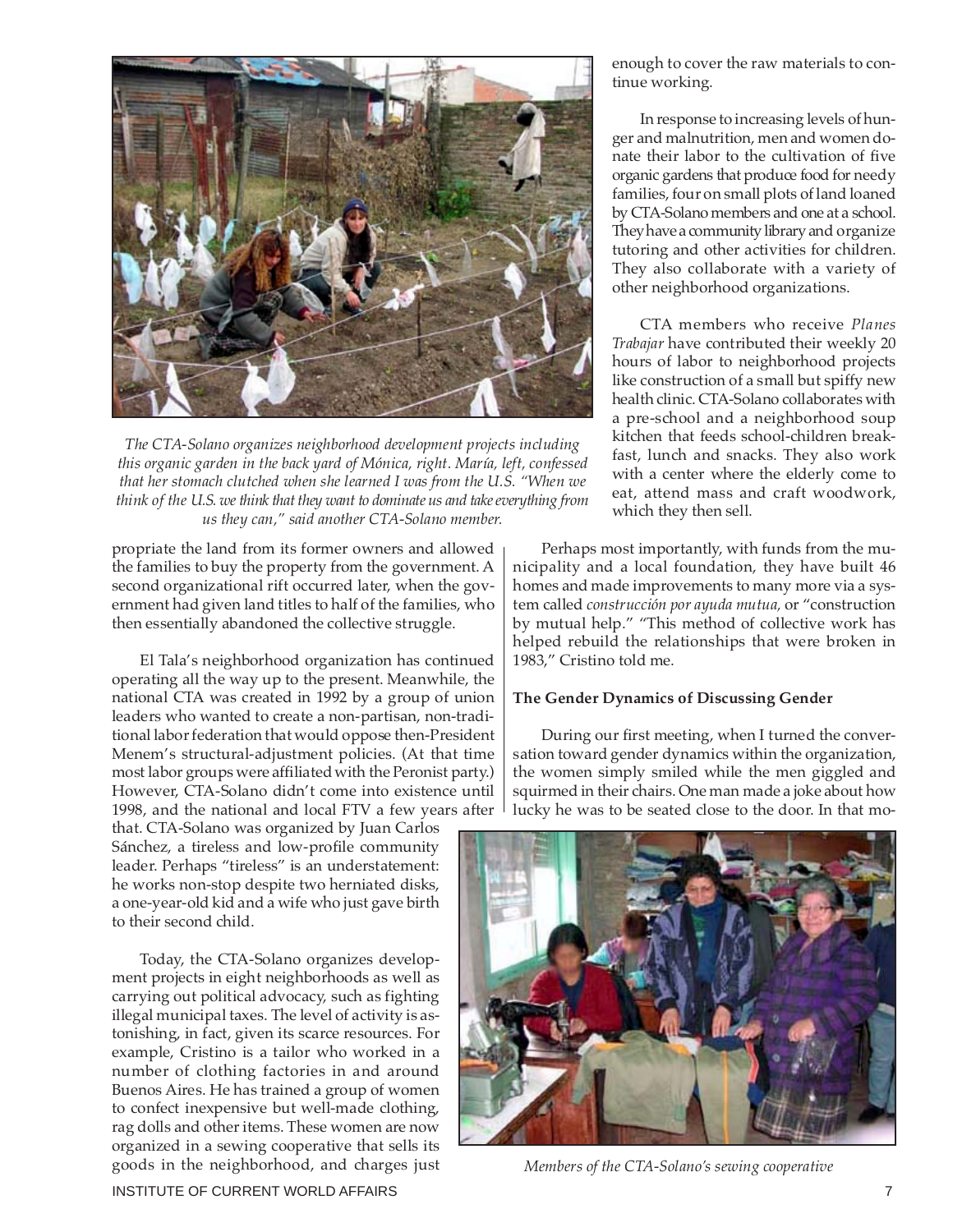

*The CTA-Solano organizes neighborhood development projects including this organic garden in the back yard of Mónica, right. María, left, confessed that her stomach clutched when she learned I was from the U.S. "When we think of the U.S. we think that they want to dominate us and take everything from us they can," said another CTA-Solano member.*

propriate the land from its former owners and allowed the families to buy the property from the government. A second organizational rift occurred later, when the government had given land titles to half of the families, who then essentially abandoned the collective struggle.

El Tala's neighborhood organization has continued operating all the way up to the present. Meanwhile, the national CTA was created in 1992 by a group of union leaders who wanted to create a non-partisan, non-traditional labor federation that would oppose then-President Menem's structural-adjustment policies. (At that time most labor groups were affiliated with the Peronist party.) However, CTA-Solano didn't come into existence until 1998, and the national and local FTV a few years after

that. CTA-Solano was organized by Juan Carlos Sánchez, a tireless and low-profile community leader. Perhaps "tireless" is an understatement: he works non-stop despite two herniated disks, a one-year-old kid and a wife who just gave birth to their second child.

Today, the CTA-Solano organizes development projects in eight neighborhoods as well as carrying out political advocacy, such as fighting illegal municipal taxes. The level of activity is astonishing, in fact, given its scarce resources. For example, Cristino is a tailor who worked in a number of clothing factories in and around Buenos Aires. He has trained a group of women to confect inexpensive but well-made clothing, rag dolls and other items. These women are now organized in a sewing cooperative that sells its goods in the neighborhood, and charges just

enough to cover the raw materials to continue working.

In response to increasing levels of hunger and malnutrition, men and women donate their labor to the cultivation of five organic gardens that produce food for needy families, four on small plots of land loaned by CTA-Solano members and one at a school. They have a community library and organize tutoring and other activities for children. They also collaborate with a variety of other neighborhood organizations.

CTA members who receive *Planes Trabajar* have contributed their weekly 20 hours of labor to neighborhood projects like construction of a small but spiffy new health clinic. CTA-Solano collaborates with a pre-school and a neighborhood soup kitchen that feeds school-children breakfast, lunch and snacks. They also work with a center where the elderly come to eat, attend mass and craft woodwork, which they then sell.

Perhaps most importantly, with funds from the municipality and a local foundation, they have built 46 homes and made improvements to many more via a system called *construcción por ayuda mutua,* or "construction by mutual help." "This method of collective work has helped rebuild the relationships that were broken in 1983," Cristino told me.

#### **The Gender Dynamics of Discussing Gender**

During our first meeting, when I turned the conversation toward gender dynamics within the organization, the women simply smiled while the men giggled and squirmed in their chairs. One man made a joke about how lucky he was to be seated close to the door. In that mo-



*Members of the CTA-Solano's sewing cooperative*

INSTITUTE OF CURRENT WORLD AFFAIRS **7** And the state of the state of the state of the state of the state of the state of the state of the state of the state of the state of the state of the state of the state of the state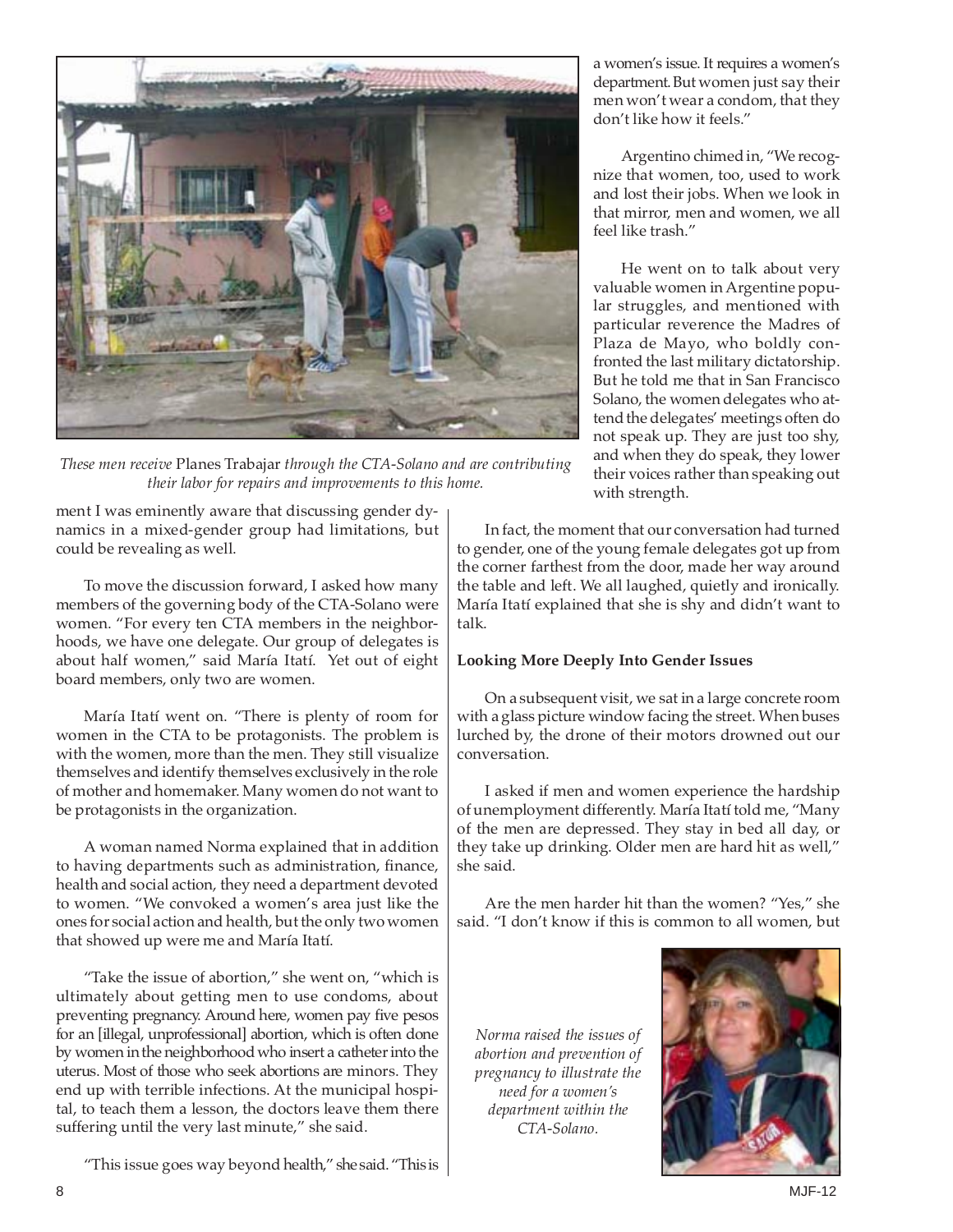

*These men receive* Planes Trabajar *through the CTA-Solano and are contributing their labor for repairs and improvements to this home.*

ment I was eminently aware that discussing gender dynamics in a mixed-gender group had limitations, but could be revealing as well.

To move the discussion forward, I asked how many members of the governing body of the CTA-Solano were women. "For every ten CTA members in the neighborhoods, we have one delegate. Our group of delegates is about half women," said María Itatí. Yet out of eight board members, only two are women.

María Itatí went on. "There is plenty of room for women in the CTA to be protagonists. The problem is with the women, more than the men. They still visualize themselves and identify themselves exclusively in the role of mother and homemaker. Many women do not want to be protagonists in the organization.

A woman named Norma explained that in addition to having departments such as administration, finance, health and social action, they need a department devoted to women. "We convoked a women's area just like the ones for social action and health, but the only two women that showed up were me and María Itatí.

"Take the issue of abortion," she went on, "which is ultimately about getting men to use condoms, about preventing pregnancy. Around here, women pay five pesos for an [illegal, unprofessional] abortion, which is often done by women in the neighborhood who insert a catheter into the uterus. Most of those who seek abortions are minors. They end up with terrible infections. At the municipal hospital, to teach them a lesson, the doctors leave them there suffering until the very last minute," she said.

"This issue goes way beyond health," she said. "This is

a women's issue. It requires a women's department. But women just say their men won't wear a condom, that they don't like how it feels."

Argentino chimed in, "We recognize that women, too, used to work and lost their jobs. When we look in that mirror, men and women, we all feel like trash."

He went on to talk about very valuable women in Argentine popular struggles, and mentioned with particular reverence the Madres of Plaza de Mayo, who boldly confronted the last military dictatorship. But he told me that in San Francisco Solano, the women delegates who attend the delegates' meetings often do not speak up. They are just too shy, and when they do speak, they lower their voices rather than speaking out with strength.

In fact, the moment that our conversation had turned to gender, one of the young female delegates got up from the corner farthest from the door, made her way around the table and left. We all laughed, quietly and ironically. María Itatí explained that she is shy and didn't want to talk.

#### **Looking More Deeply Into Gender Issues**

On a subsequent visit, we sat in a large concrete room with a glass picture window facing the street. When buses lurched by, the drone of their motors drowned out our conversation.

I asked if men and women experience the hardship of unemployment differently. María Itatí told me, "Many of the men are depressed. They stay in bed all day, or they take up drinking. Older men are hard hit as well," she said.

Are the men harder hit than the women? "Yes," she said. "I don't know if this is common to all women, but

*Norma raised the issues of abortion and prevention of pregnancy to illustrate the need for a women's department within the CTA-Solano.*

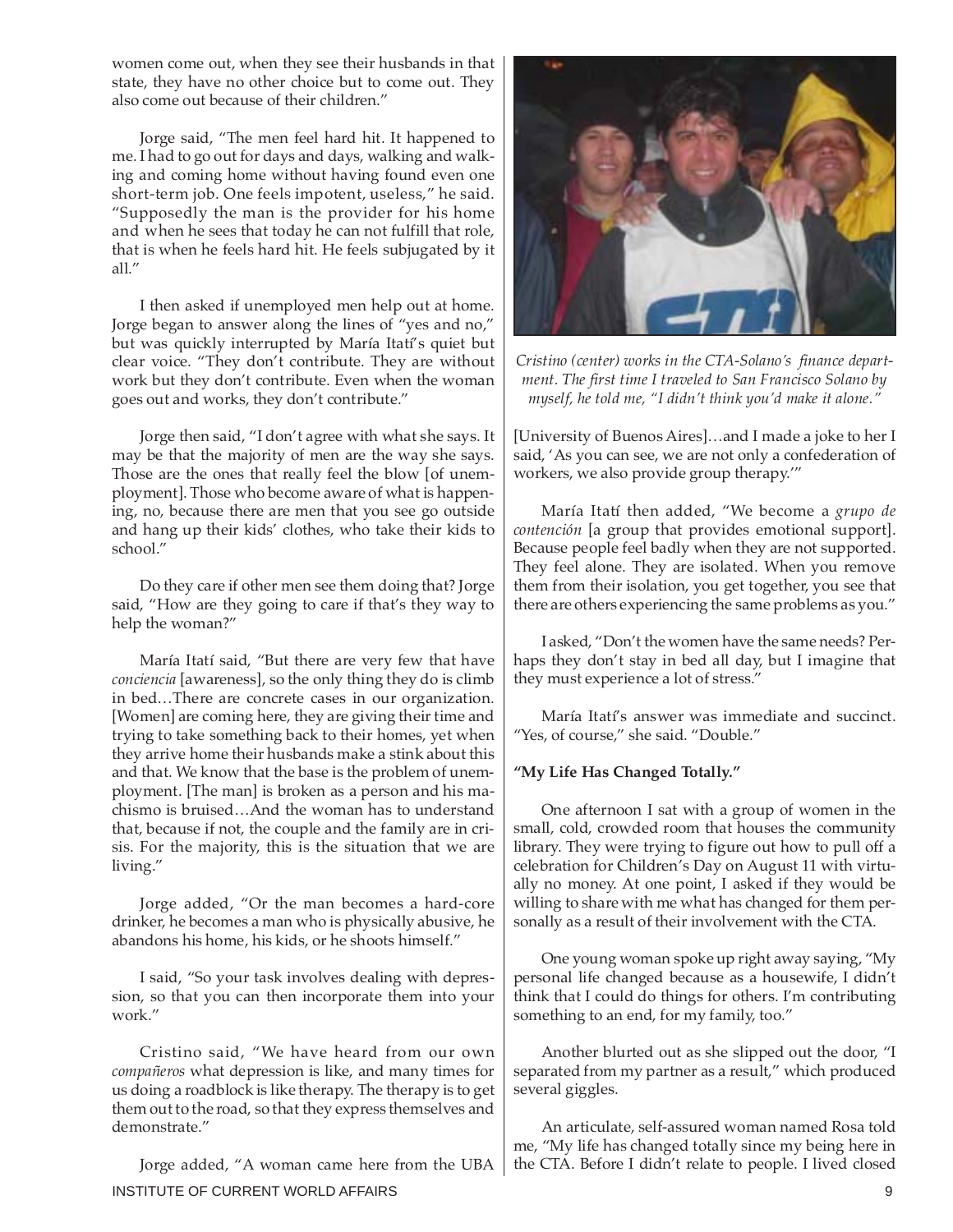women come out, when they see their husbands in that state, they have no other choice but to come out. They also come out because of their children."

Jorge said, "The men feel hard hit. It happened to me. I had to go out for days and days, walking and walking and coming home without having found even one short-term job. One feels impotent, useless," he said. "Supposedly the man is the provider for his home and when he sees that today he can not fulfill that role, that is when he feels hard hit. He feels subjugated by it all."

I then asked if unemployed men help out at home. Jorge began to answer along the lines of "yes and no," but was quickly interrupted by María Itatí's quiet but clear voice. "They don't contribute. They are without work but they don't contribute. Even when the woman goes out and works, they don't contribute."

Jorge then said, "I don't agree with what she says. It may be that the majority of men are the way she says. Those are the ones that really feel the blow [of unemployment]. Those who become aware of what is happening, no, because there are men that you see go outside and hang up their kids' clothes, who take their kids to school."

Do they care if other men see them doing that? Jorge said, "How are they going to care if that's they way to help the woman?"

María Itatí said, "But there are very few that have *conciencia* [awareness], so the only thing they do is climb in bed…There are concrete cases in our organization. [Women] are coming here, they are giving their time and trying to take something back to their homes, yet when they arrive home their husbands make a stink about this and that. We know that the base is the problem of unemployment. [The man] is broken as a person and his machismo is bruised…And the woman has to understand that, because if not, the couple and the family are in crisis. For the majority, this is the situation that we are living."

Jorge added, "Or the man becomes a hard-core drinker, he becomes a man who is physically abusive, he abandons his home, his kids, or he shoots himself."

I said, "So your task involves dealing with depression, so that you can then incorporate them into your work."

Cristino said, "We have heard from our own *compañeros* what depression is like, and many times for us doing a roadblock is like therapy. The therapy is to get them out to the road, so that they express themselves and demonstrate."

INSTITUTE OF CURRENT WORLD AFFAIRS 9 Jorge added, "A woman came here from the UBA



*Cristino (center) works in the CTA-Solano's finance department. The first time I traveled to San Francisco Solano by myself, he told me, "I didn't think you'd make it alone."*

[University of Buenos Aires]…and I made a joke to her I said, 'As you can see, we are not only a confederation of workers, we also provide group therapy.'"

María Itatí then added, "We become a *grupo de contención* [a group that provides emotional support]. Because people feel badly when they are not supported. They feel alone. They are isolated. When you remove them from their isolation, you get together, you see that there are others experiencing the same problems as you."

I asked, "Don't the women have the same needs? Perhaps they don't stay in bed all day, but I imagine that they must experience a lot of stress."

María Itatí's answer was immediate and succinct. "Yes, of course," she said. "Double."

#### **"My Life Has Changed Totally."**

One afternoon I sat with a group of women in the small, cold, crowded room that houses the community library. They were trying to figure out how to pull off a celebration for Children's Day on August 11 with virtually no money. At one point, I asked if they would be willing to share with me what has changed for them personally as a result of their involvement with the CTA.

One young woman spoke up right away saying, "My personal life changed because as a housewife, I didn't think that I could do things for others. I'm contributing something to an end, for my family, too."

Another blurted out as she slipped out the door, "I separated from my partner as a result," which produced several giggles.

An articulate, self-assured woman named Rosa told me, "My life has changed totally since my being here in the CTA. Before I didn't relate to people. I lived closed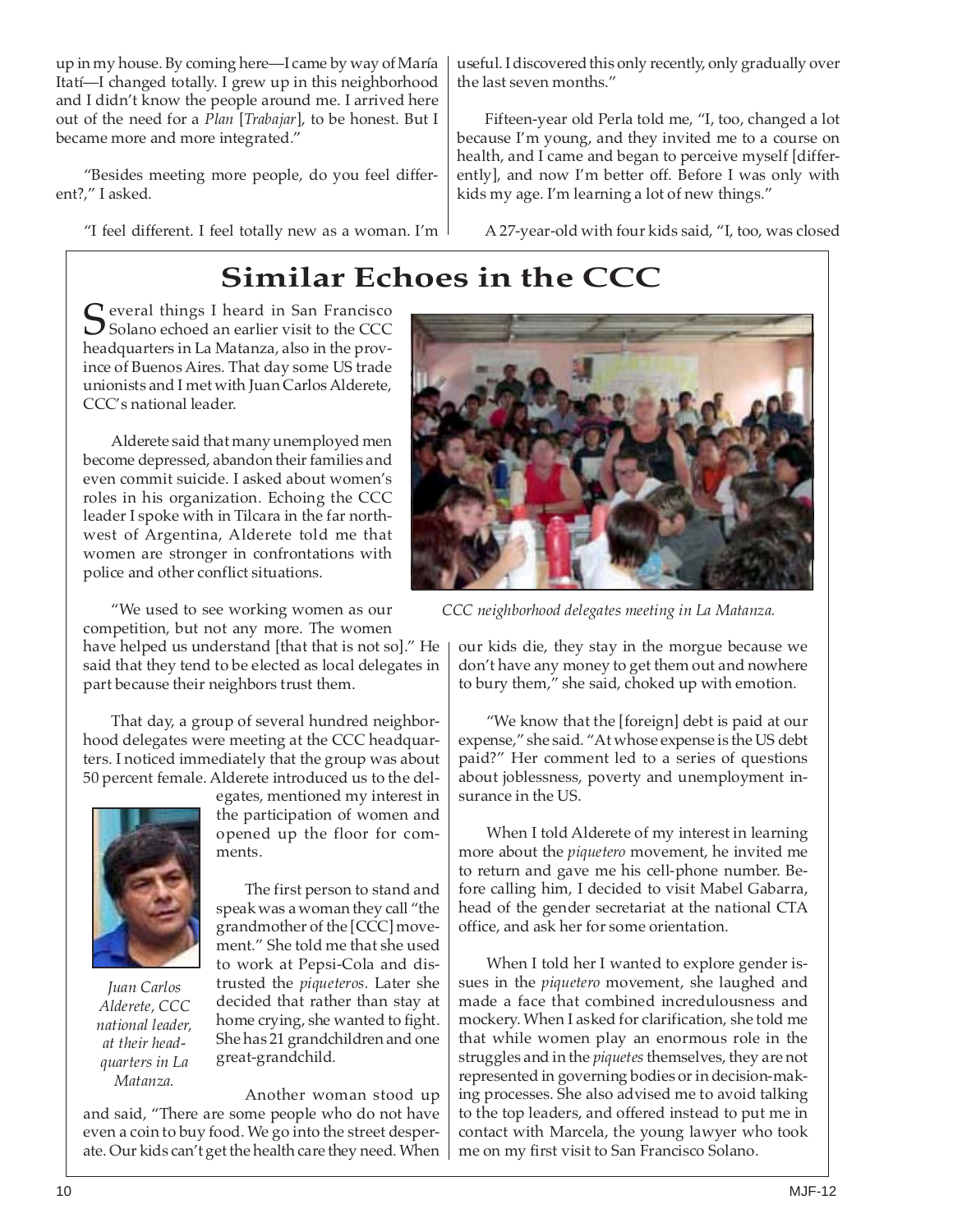up in my house. By coming here—I came by way of María Itatí—I changed totally. I grew up in this neighborhood and I didn't know the people around me. I arrived here out of the need for a *Plan* [*Trabajar*], to be honest. But I became more and more integrated."

"Besides meeting more people, do you feel different?," I asked.

"I feel different. I feel totally new as a woman. I'm

useful. I discovered this only recently, only gradually over the last seven months."

Fifteen-year old Perla told me, "I, too, changed a lot because I'm young, and they invited me to a course on health, and I came and began to perceive myself [differently], and now I'm better off. Before I was only with kids my age. I'm learning a lot of new things."

A 27-year-old with four kids said, "I, too, was closed

# **Similar Echoes in the CCC**

 $\Gamma$  everal things I heard in San Francisco  $\bigcup$  Solano echoed an earlier visit to the CCC headquarters in La Matanza, also in the province of Buenos Aires. That day some US trade unionists and I met with Juan Carlos Alderete, CCC's national leader.

Alderete said that many unemployed men become depressed, abandon their families and even commit suicide. I asked about women's roles in his organization. Echoing the CCC leader I spoke with in Tilcara in the far northwest of Argentina, Alderete told me that women are stronger in confrontations with police and other conflict situations.

"We used to see working women as our competition, but not any more. The women

have helped us understand [that that is not so]." He said that they tend to be elected as local delegates in part because their neighbors trust them.

That day, a group of several hundred neighborhood delegates were meeting at the CCC headquarters. I noticed immediately that the group was about 50 percent female. Alderete introduced us to the del-



*Juan Carlos Alderete, CCC national leader, at their headquarters in La Matanza.*

egates, mentioned my interest in the participation of women and opened up the floor for comments.

The first person to stand and speak was a woman they call "the grandmother of the [CCC] movement." She told me that she used to work at Pepsi-Cola and distrusted the *piqueteros.* Later she decided that rather than stay at home crying, she wanted to fight. She has 21 grandchildren and one great-grandchild.

Another woman stood up and said, "There are some people who do not have even a coin to buy food. We go into the street desperate. Our kids can't get the health care they need. When



*CCC neighborhood delegates meeting in La Matanza.*

our kids die, they stay in the morgue because we don't have any money to get them out and nowhere to bury them," she said, choked up with emotion.

"We know that the [foreign] debt is paid at our expense," she said. "At whose expense is the US debt paid?" Her comment led to a series of questions about joblessness, poverty and unemployment insurance in the US.

When I told Alderete of my interest in learning more about the *piquetero* movement, he invited me to return and gave me his cell-phone number. Before calling him, I decided to visit Mabel Gabarra, head of the gender secretariat at the national CTA office, and ask her for some orientation.

When I told her I wanted to explore gender issues in the *piquetero* movement, she laughed and made a face that combined incredulousness and mockery. When I asked for clarification, she told me that while women play an enormous role in the struggles and in the *piquetes* themselves, they are not represented in governing bodies or in decision-making processes. She also advised me to avoid talking to the top leaders, and offered instead to put me in contact with Marcela, the young lawyer who took me on my first visit to San Francisco Solano.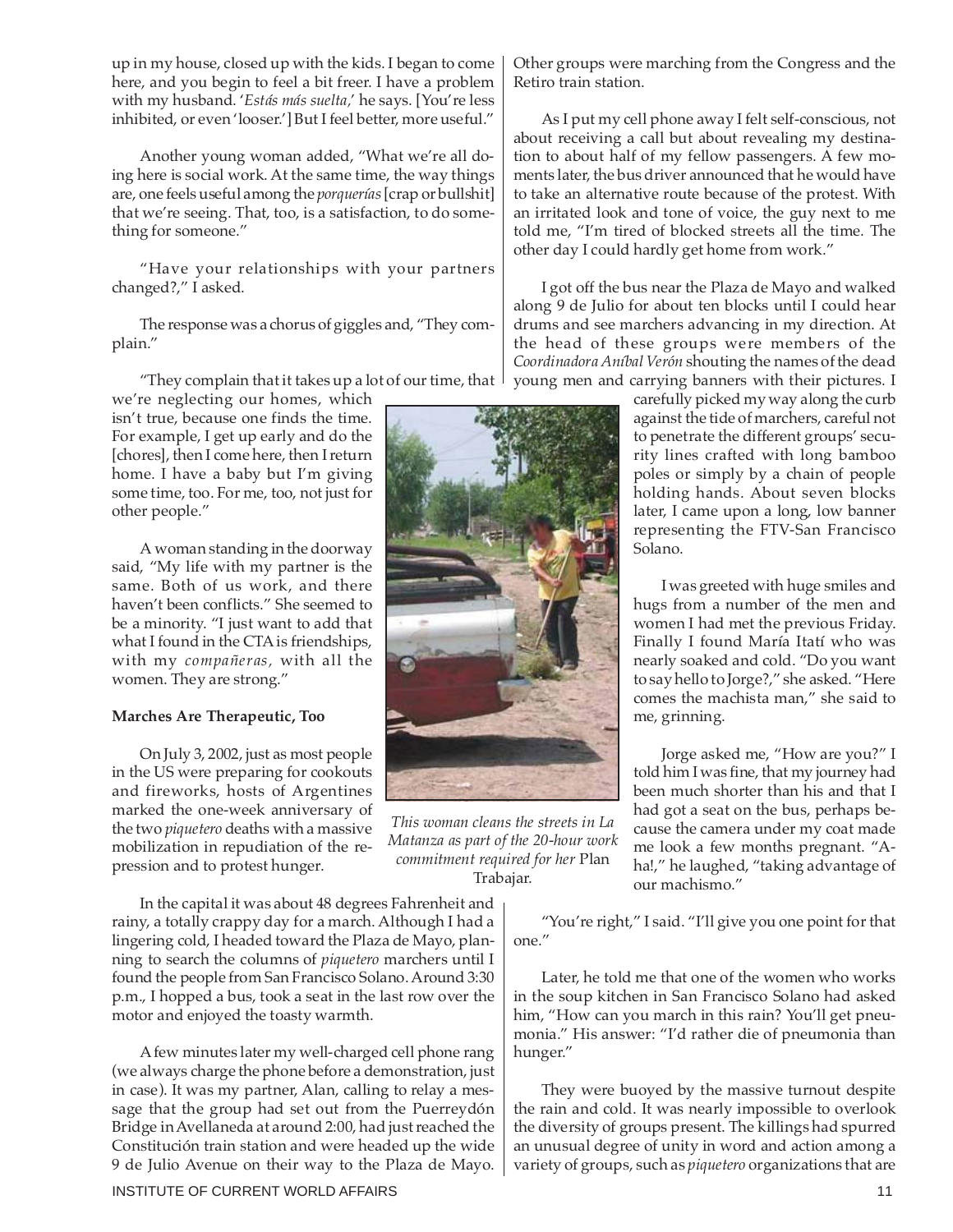up in my house, closed up with the kids. I began to come here, and you begin to feel a bit freer. I have a problem with my husband. '*Estás más suelta,*' he says. [You're less inhibited, or even 'looser.'] But I feel better, more useful."

Another young woman added, "What we're all doing here is social work. At the same time, the way things are, one feels useful among the *porquerías* [crap or bullshit] that we're seeing. That, too, is a satisfaction, to do something for someone."

"Have your relationships with your partners changed?," I asked.

The response was a chorus of giggles and, "They complain."

"They complain that it takes up a lot of our time, that

we're neglecting our homes, which isn't true, because one finds the time. For example, I get up early and do the [chores], then I come here, then I return home. I have a baby but I'm giving some time, too. For me, too, not just for other people."

A woman standing in the doorway said, "My life with my partner is the same. Both of us work, and there haven't been conflicts." She seemed to be a minority. "I just want to add that what I found in the CTA is friendships, with my *compañeras,* with all the women. They are strong."

#### **Marches Are Therapeutic, Too**

On July 3, 2002, just as most people in the US were preparing for cookouts and fireworks, hosts of Argentines marked the one-week anniversary of the two *piquetero* deaths with a massive mobilization in repudiation of the repression and to protest hunger.

In the capital it was about 48 degrees Fahrenheit and rainy, a totally crappy day for a march. Although I had a lingering cold, I headed toward the Plaza de Mayo, planning to search the columns of *piquetero* marchers until I found the people from San Francisco Solano. Around 3:30 p.m., I hopped a bus, took a seat in the last row over the motor and enjoyed the toasty warmth.

A few minutes later my well-charged cell phone rang (we always charge the phone before a demonstration, just in case). It was my partner, Alan, calling to relay a message that the group had set out from the Puerreydón Bridge in Avellaneda at around 2:00, had just reached the Constitución train station and were headed up the wide 9 de Julio Avenue on their way to the Plaza de Mayo. Other groups were marching from the Congress and the Retiro train station.

As I put my cell phone away I felt self-conscious, not about receiving a call but about revealing my destination to about half of my fellow passengers. A few moments later, the bus driver announced that he would have to take an alternative route because of the protest. With an irritated look and tone of voice, the guy next to me told me, "I'm tired of blocked streets all the time. The other day I could hardly get home from work."

I got off the bus near the Plaza de Mayo and walked along 9 de Julio for about ten blocks until I could hear drums and see marchers advancing in my direction. At the head of these groups were members of the *Coordinadora Aníbal Verón* shouting the names of the dead young men and carrying banners with their pictures. I

carefully picked my way along the curb against the tide of marchers, careful not to penetrate the different groups' security lines crafted with long bamboo poles or simply by a chain of people holding hands. About seven blocks later, I came upon a long, low banner representing the FTV-San Francisco Solano.

I was greeted with huge smiles and hugs from a number of the men and women I had met the previous Friday. Finally I found María Itatí who was nearly soaked and cold. "Do you want to say hello to Jorge?," she asked. "Here comes the machista man," she said to me, grinning.

Jorge asked me, "How are you?" I told him I was fine, that my journey had been much shorter than his and that I had got a seat on the bus, perhaps because the camera under my coat made me look a few months pregnant. "Aha!," he laughed, "taking advantage of our machismo."

"You're right," I said. "I'll give you one point for that one."

Later, he told me that one of the women who works in the soup kitchen in San Francisco Solano had asked him, "How can you march in this rain? You'll get pneumonia." His answer: "I'd rather die of pneumonia than hunger."

They were buoyed by the massive turnout despite the rain and cold. It was nearly impossible to overlook the diversity of groups present. The killings had spurred an unusual degree of unity in word and action among a variety of groups, such as *piquetero* organizations that are



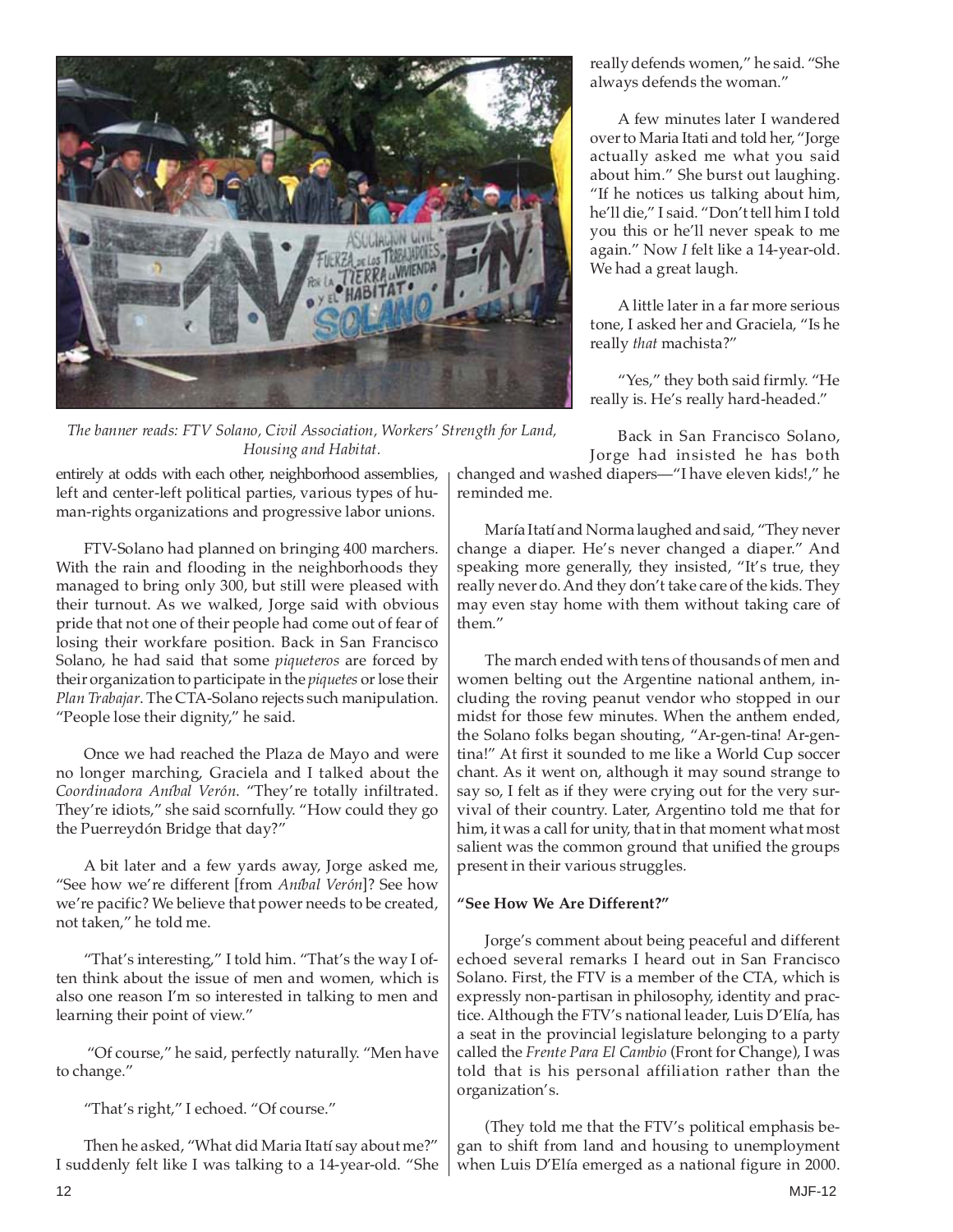

*The banner reads: FTV Solano, Civil Association, Workers' Strength for Land, Housing and Habitat.*

really defends women," he said. "She always defends the woman."

A few minutes later I wandered over to Maria Itati and told her, "Jorge actually asked me what you said about him." She burst out laughing. "If he notices us talking about him, he'll die," I said. "Don't tell him I told you this or he'll never speak to me again." Now *I* felt like a 14-year-old. We had a great laugh.

A little later in a far more serious tone, I asked her and Graciela, "Is he really *that* machista?"

"Yes," they both said firmly. "He really is. He's really hard-headed."

Back in San Francisco Solano, Jorge had insisted he has both

changed and washed diapers—"I have eleven kids!," he reminded me.

entirely at odds with each other, neighborhood assemblies, left and center-left political parties, various types of human-rights organizations and progressive labor unions.

FTV-Solano had planned on bringing 400 marchers. With the rain and flooding in the neighborhoods they managed to bring only 300, but still were pleased with their turnout. As we walked, Jorge said with obvious pride that not one of their people had come out of fear of losing their workfare position. Back in San Francisco Solano, he had said that some *piqueteros* are forced by their organization to participate in the *piquetes* or lose their *Plan Trabajar*. The CTA-Solano rejects such manipulation. "People lose their dignity," he said.

Once we had reached the Plaza de Mayo and were no longer marching, Graciela and I talked about the *Coordinadora Aníbal Verón*. "They're totally infiltrated. They're idiots," she said scornfully. "How could they go the Puerreydón Bridge that day?"

A bit later and a few yards away, Jorge asked me, "See how we're different [from *Aníbal Verón*]? See how we're pacific? We believe that power needs to be created, not taken," he told me.

"That's interesting," I told him. "That's the way I often think about the issue of men and women, which is also one reason I'm so interested in talking to men and learning their point of view."

"Of course," he said, perfectly naturally. "Men have to change."

"That's right," I echoed. "Of course."

Then he asked, "What did Maria Itatí say about me?" I suddenly felt like I was talking to a 14-year-old. "She

María Itatí and Norma laughed and said, "They never change a diaper. He's never changed a diaper." And speaking more generally, they insisted, "It's true, they really never do. And they don't take care of the kids. They may even stay home with them without taking care of them."

The march ended with tens of thousands of men and women belting out the Argentine national anthem, including the roving peanut vendor who stopped in our midst for those few minutes. When the anthem ended, the Solano folks began shouting, "Ar-gen-tina! Ar-gentina!" At first it sounded to me like a World Cup soccer chant. As it went on, although it may sound strange to say so, I felt as if they were crying out for the very survival of their country. Later, Argentino told me that for him, it was a call for unity, that in that moment what most salient was the common ground that unified the groups present in their various struggles.

### **"See How We Are Different?"**

Jorge's comment about being peaceful and different echoed several remarks I heard out in San Francisco Solano. First, the FTV is a member of the CTA, which is expressly non-partisan in philosophy, identity and practice. Although the FTV's national leader, Luis D'Elía, has a seat in the provincial legislature belonging to a party called the *Frente Para El Cambio* (Front for Change), I was told that is his personal affiliation rather than the organization's.

(They told me that the FTV's political emphasis began to shift from land and housing to unemployment when Luis D'Elía emerged as a national figure in 2000.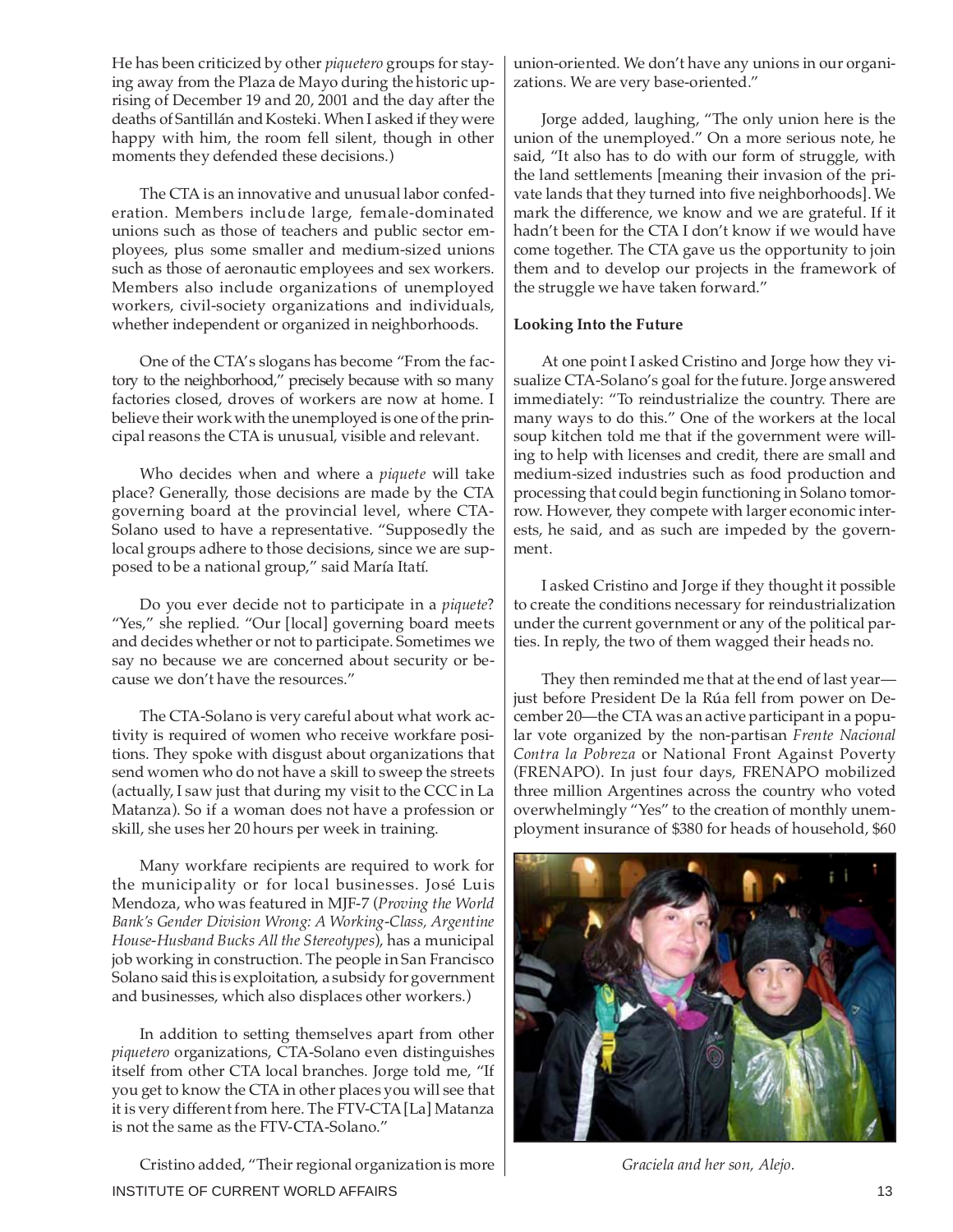He has been criticized by other *piquetero* groups for staying away from the Plaza de Mayo during the historic uprising of December 19 and 20, 2001 and the day after the deaths of Santillán and Kosteki. When I asked if they were happy with him, the room fell silent, though in other moments they defended these decisions.)

The CTA is an innovative and unusual labor confederation. Members include large, female-dominated unions such as those of teachers and public sector employees, plus some smaller and medium-sized unions such as those of aeronautic employees and sex workers. Members also include organizations of unemployed workers, civil-society organizations and individuals, whether independent or organized in neighborhoods.

One of the CTA's slogans has become "From the factory to the neighborhood," precisely because with so many factories closed, droves of workers are now at home. I believe their work with the unemployed is one of the principal reasons the CTA is unusual, visible and relevant.

Who decides when and where a *piquete* will take place? Generally, those decisions are made by the CTA governing board at the provincial level, where CTA-Solano used to have a representative. "Supposedly the local groups adhere to those decisions, since we are supposed to be a national group," said María Itatí.

Do you ever decide not to participate in a *piquete*? "Yes," she replied. "Our [local] governing board meets and decides whether or not to participate. Sometimes we say no because we are concerned about security or because we don't have the resources."

The CTA-Solano is very careful about what work activity is required of women who receive workfare positions. They spoke with disgust about organizations that send women who do not have a skill to sweep the streets (actually, I saw just that during my visit to the CCC in La Matanza). So if a woman does not have a profession or skill, she uses her 20 hours per week in training.

Many workfare recipients are required to work for the municipality or for local businesses. José Luis Mendoza, who was featured in MJF-7 (*Proving the World Bank's Gender Division Wrong: A Working-Class, Argentine House-Husband Bucks All the Stereotypes*), has a municipal job working in construction. The people in San Francisco Solano said this is exploitation, a subsidy for government and businesses, which also displaces other workers.)

In addition to setting themselves apart from other *piquetero* organizations, CTA-Solano even distinguishes itself from other CTA local branches. Jorge told me, "If you get to know the CTA in other places you will see that it is very different from here. The FTV-CTA [La] Matanza is not the same as the FTV-CTA-Solano."

INSTITUTE OF CURRENT WORLD AFFAIRS 13 Cristino added, "Their regional organization is more

union-oriented. We don't have any unions in our organizations. We are very base-oriented."

Jorge added, laughing, "The only union here is the union of the unemployed." On a more serious note, he said, "It also has to do with our form of struggle, with the land settlements [meaning their invasion of the private lands that they turned into five neighborhoods]. We mark the difference, we know and we are grateful. If it hadn't been for the CTA I don't know if we would have come together. The CTA gave us the opportunity to join them and to develop our projects in the framework of the struggle we have taken forward."

#### **Looking Into the Future**

At one point I asked Cristino and Jorge how they visualize CTA-Solano's goal for the future. Jorge answered immediately: "To reindustrialize the country. There are many ways to do this." One of the workers at the local soup kitchen told me that if the government were willing to help with licenses and credit, there are small and medium-sized industries such as food production and processing that could begin functioning in Solano tomorrow. However, they compete with larger economic interests, he said, and as such are impeded by the government.

I asked Cristino and Jorge if they thought it possible to create the conditions necessary for reindustrialization under the current government or any of the political parties. In reply, the two of them wagged their heads no.

They then reminded me that at the end of last year just before President De la Rúa fell from power on December 20—the CTA was an active participant in a popular vote organized by the non-partisan *Frente Nacional Contra la Pobreza* or National Front Against Poverty (FRENAPO). In just four days, FRENAPO mobilized three million Argentines across the country who voted overwhelmingly "Yes" to the creation of monthly unemployment insurance of \$380 for heads of household, \$60



 *Graciela and her son, Alejo.*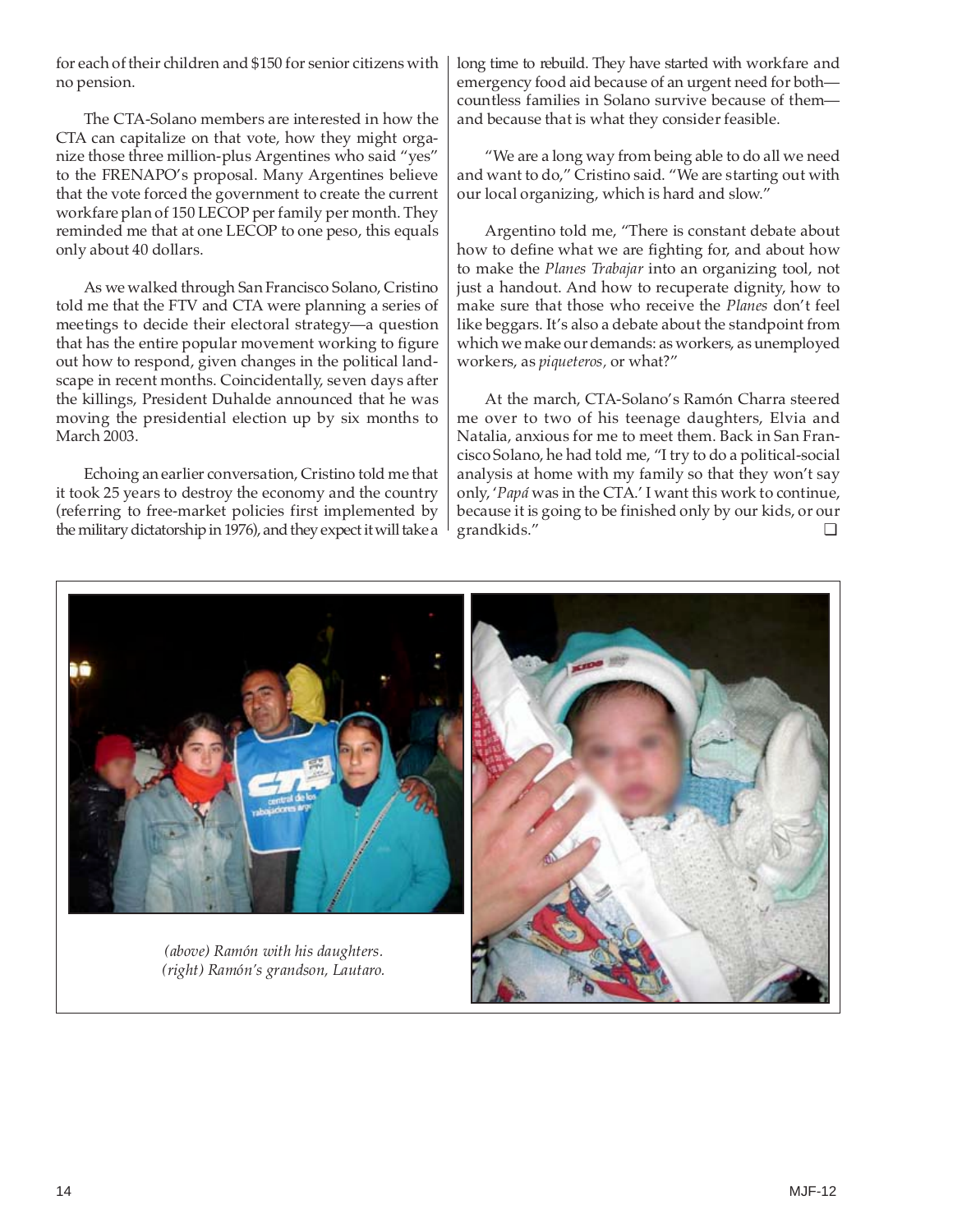for each of their children and \$150 for senior citizens with no pension.

The CTA-Solano members are interested in how the CTA can capitalize on that vote, how they might organize those three million-plus Argentines who said "yes" to the FRENAPO's proposal. Many Argentines believe that the vote forced the government to create the current workfare plan of 150 LECOP per family per month. They reminded me that at one LECOP to one peso, this equals only about 40 dollars.

As we walked through San Francisco Solano, Cristino told me that the FTV and CTA were planning a series of meetings to decide their electoral strategy—a question that has the entire popular movement working to figure out how to respond, given changes in the political landscape in recent months. Coincidentally, seven days after the killings, President Duhalde announced that he was moving the presidential election up by six months to March 2003.

Echoing an earlier conversation, Cristino told me that it took 25 years to destroy the economy and the country (referring to free-market policies first implemented by the military dictatorship in 1976), and they expect it will take a long time to rebuild. They have started with workfare and emergency food aid because of an urgent need for both countless families in Solano survive because of them and because that is what they consider feasible.

"We are a long way from being able to do all we need and want to do," Cristino said. "We are starting out with our local organizing, which is hard and slow."

Argentino told me, "There is constant debate about how to define what we are fighting for, and about how to make the *Planes Trabajar* into an organizing tool, not just a handout. And how to recuperate dignity, how to make sure that those who receive the *Planes* don't feel like beggars. It's also a debate about the standpoint from which we make our demands: as workers, as unemployed workers, as *piqueteros,* or what?"

At the march, CTA-Solano's Ramón Charra steered me over to two of his teenage daughters, Elvia and Natalia, anxious for me to meet them. Back in San Francisco Solano, he had told me, "I try to do a political-social analysis at home with my family so that they won't say only, '*Papá* was in the CTA.' I want this work to continue, because it is going to be finished only by our kids, or our grandkids." ❏



*(above) Ramón with his daughters. (right) Ramón's grandson, Lautaro.*